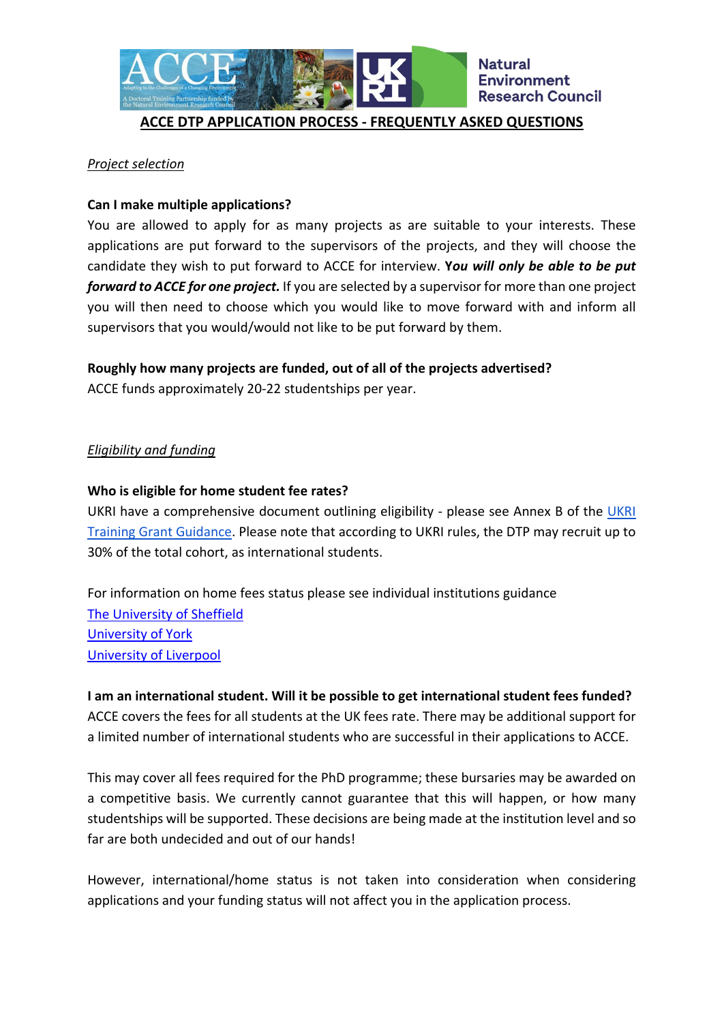

#### **ACCE DTP APPLICATION PROCESS - FREQUENTLY ASKED QUESTIONS**

#### *Project selection*

#### **Can I make multiple applications?**

You are allowed to apply for as many projects as are suitable to your interests. These applications are put forward to the supervisors of the projects, and they will choose the candidate they wish to put forward to ACCE for interview. **Y***ou will only be able to be put forward to ACCE for one project.* If you are selected by a supervisor for more than one project you will then need to choose which you would like to move forward with and inform all supervisors that you would/would not like to be put forward by them.

#### **Roughly how many projects are funded, out of all of the projects advertised?**

ACCE funds approximately 20-22 studentships per year.

#### *Eligibility and funding*

#### **Who is eligible for home student fee rates?**

UKRI have a comprehensive document outlining eligibility - please see Annex B of the UKRI [Training Grant Guidance.](https://www.ukri.org/wp-content/uploads/2020/10/UKRI-291020-guidance-to-training-grant-terms-and-conditions.pdf) Please note that according to UKRI rules, the DTP may recruit up to 30% of the total cohort, as international students.

For information on home fees status please see individual institutions guidance [The University of Sheffield](https://www.sheffield.ac.uk/ssid/fees/status) [University of York](https://www.york.ac.uk/study/postgraduate-research/fees/status/) [University of Liverpool](https://www.liverpool.ac.uk/study/postgraduate-research/fees-and-funding/fees-and-costs/)

# **I am an international student. Will it be possible to get international student fees funded?**

ACCE covers the fees for all students at the UK fees rate. There may be additional support for a limited number of international students who are successful in their applications to ACCE.

This may cover all fees required for the PhD programme; these bursaries may be awarded on a competitive basis. We currently cannot guarantee that this will happen, or how many studentships will be supported. These decisions are being made at the institution level and so far are both undecided and out of our hands!

However, international/home status is not taken into consideration when considering applications and your funding status will not affect you in the application process.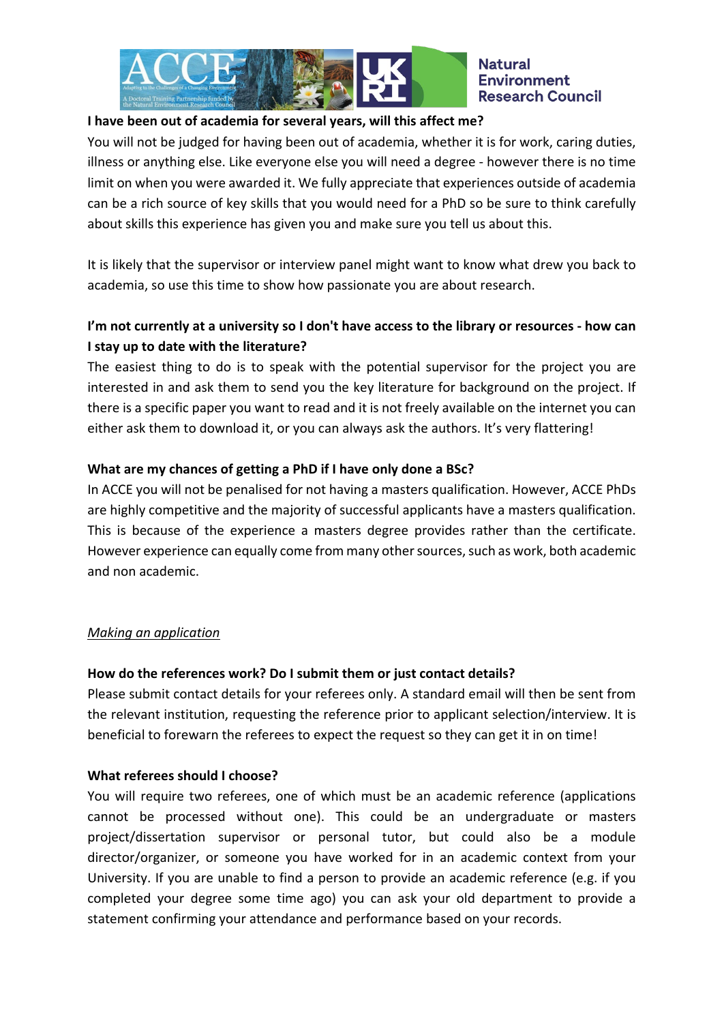

## **I have been out of academia for several years, will this affect me?**

You will not be judged for having been out of academia, whether it is for work, caring duties, illness or anything else. Like everyone else you will need a degree - however there is no time limit on when you were awarded it. We fully appreciate that experiences outside of academia can be a rich source of key skills that you would need for a PhD so be sure to think carefully about skills this experience has given you and make sure you tell us about this.

It is likely that the supervisor or interview panel might want to know what drew you back to academia, so use this time to show how passionate you are about research.

# **I'm not currently at a university so I don't have access to the library or resources - how can I stay up to date with the literature?**

The easiest thing to do is to speak with the potential supervisor for the project you are interested in and ask them to send you the key literature for background on the project. If there is a specific paper you want to read and it is not freely available on the internet you can either ask them to download it, or you can always ask the authors. It's very flattering!

## **What are my chances of getting a PhD if I have only done a BSc?**

In ACCE you will not be penalised for not having a masters qualification. However, ACCE PhDs are highly competitive and the majority of successful applicants have a masters qualification. This is because of the experience a masters degree provides rather than the certificate. However experience can equally come from many other sources, such as work, both academic and non academic.

## *Making an application*

## **How do the references work? Do I submit them or just contact details?**

Please submit contact details for your referees only. A standard email will then be sent from the relevant institution, requesting the reference prior to applicant selection/interview. It is beneficial to forewarn the referees to expect the request so they can get it in on time!

## **What referees should I choose?**

You will require two referees, one of which must be an academic reference (applications cannot be processed without one). This could be an undergraduate or masters project/dissertation supervisor or personal tutor, but could also be a module director/organizer, or someone you have worked for in an academic context from your University. If you are unable to find a person to provide an academic reference (e.g. if you completed your degree some time ago) you can ask your old department to provide a statement confirming your attendance and performance based on your records.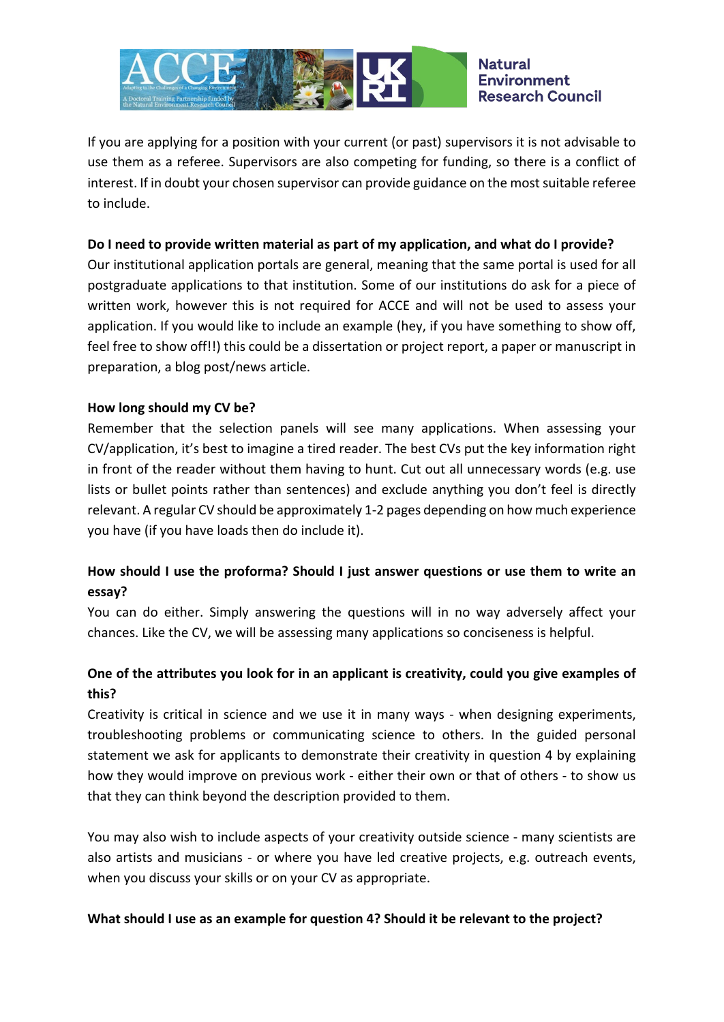

If you are applying for a position with your current (or past) supervisors it is not advisable to use them as a referee. Supervisors are also competing for funding, so there is a conflict of interest. If in doubt your chosen supervisor can provide guidance on the most suitable referee to include.

## **Do I need to provide written material as part of my application, and what do I provide?**

Our institutional application portals are general, meaning that the same portal is used for all postgraduate applications to that institution. Some of our institutions do ask for a piece of written work, however this is not required for ACCE and will not be used to assess your application. If you would like to include an example (hey, if you have something to show off, feel free to show off!!) this could be a dissertation or project report, a paper or manuscript in preparation, a blog post/news article.

## **How long should my CV be?**

Remember that the selection panels will see many applications. When assessing your CV/application, it's best to imagine a tired reader. The best CVs put the key information right in front of the reader without them having to hunt. Cut out all unnecessary words (e.g. use lists or bullet points rather than sentences) and exclude anything you don't feel is directly relevant. A regular CV should be approximately 1-2 pages depending on how much experience you have (if you have loads then do include it).

## **How should I use the proforma? Should I just answer questions or use them to write an essay?**

You can do either. Simply answering the questions will in no way adversely affect your chances. Like the CV, we will be assessing many applications so conciseness is helpful.

## **One of the attributes you look for in an applicant is creativity, could you give examples of this?**

Creativity is critical in science and we use it in many ways - when designing experiments, troubleshooting problems or communicating science to others. In the guided personal statement we ask for applicants to demonstrate their creativity in question 4 by explaining how they would improve on previous work - either their own or that of others - to show us that they can think beyond the description provided to them.

You may also wish to include aspects of your creativity outside science - many scientists are also artists and musicians - or where you have led creative projects, e.g. outreach events, when you discuss your skills or on your CV as appropriate.

## **What should I use as an example for question 4? Should it be relevant to the project?**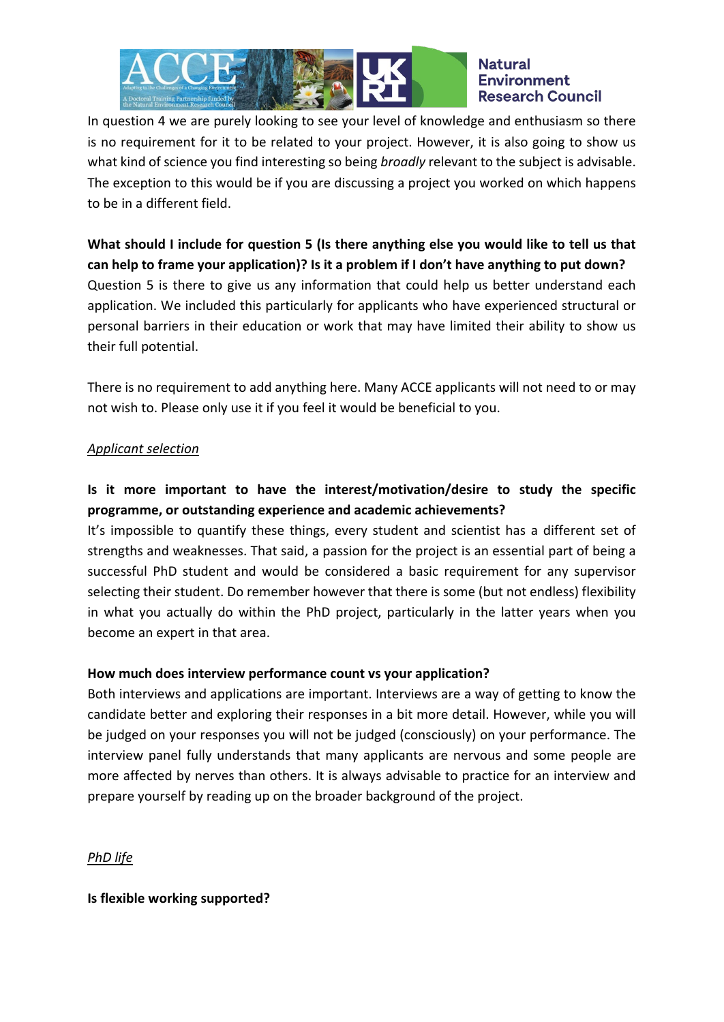

#### **Natural Environment Research Council**

In question 4 we are purely looking to see your level of knowledge and enthusiasm so there is no requirement for it to be related to your project. However, it is also going to show us what kind of science you find interesting so being *broadly* relevant to the subject is advisable. The exception to this would be if you are discussing a project you worked on which happens to be in a different field.

**What should I include for question 5 (Is there anything else you would like to tell us that can help to frame your application)? Is it a problem if I don't have anything to put down?** Question 5 is there to give us any information that could help us better understand each application. We included this particularly for applicants who have experienced structural or personal barriers in their education or work that may have limited their ability to show us their full potential.

There is no requirement to add anything here. Many ACCE applicants will not need to or may not wish to. Please only use it if you feel it would be beneficial to you.

## *Applicant selection*

# **Is it more important to have the interest/motivation/desire to study the specific programme, or outstanding experience and academic achievements?**

It's impossible to quantify these things, every student and scientist has a different set of strengths and weaknesses. That said, a passion for the project is an essential part of being a successful PhD student and would be considered a basic requirement for any supervisor selecting their student. Do remember however that there is some (but not endless) flexibility in what you actually do within the PhD project, particularly in the latter years when you become an expert in that area.

## **How much does interview performance count vs your application?**

Both interviews and applications are important. Interviews are a way of getting to know the candidate better and exploring their responses in a bit more detail. However, while you will be judged on your responses you will not be judged (consciously) on your performance. The interview panel fully understands that many applicants are nervous and some people are more affected by nerves than others. It is always advisable to practice for an interview and prepare yourself by reading up on the broader background of the project.

## *PhD life*

**Is flexible working supported?**